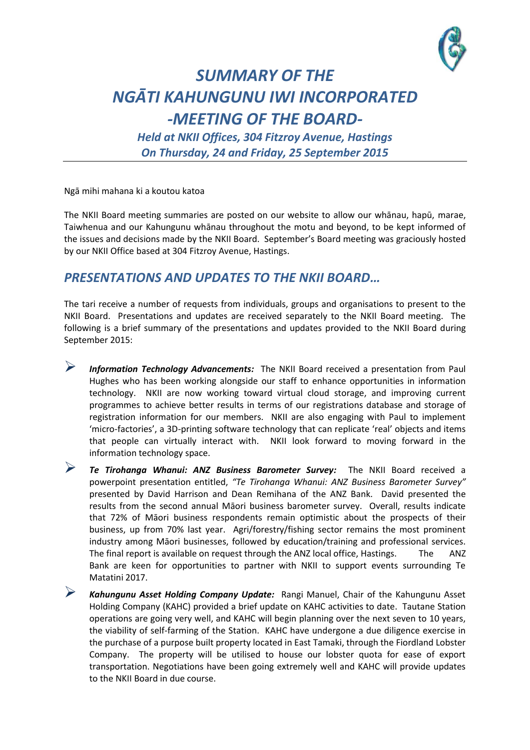

## *SUMMARY OF THE NGĀTI KAHUNGUNU IWI INCORPORATED -MEETING OF THE BOARD-*

*Held at NKII Offices, 304 Fitzroy Avenue, Hastings On Thursday, 24 and Friday, 25 September 2015*

Ngā mihi mahana ki a koutou katoa

The NKII Board meeting summaries are posted on our website to allow our whānau, hapū, marae, Taiwhenua and our Kahungunu whānau throughout the motu and beyond, to be kept informed of the issues and decisions made by the NKII Board. September's Board meeting was graciously hosted by our NKII Office based at 304 Fitzroy Avenue, Hastings.

## *PRESENTATIONS AND UPDATES TO THE NKII BOARD…*

The tari receive a number of requests from individuals, groups and organisations to present to the NKII Board. Presentations and updates are received separately to the NKII Board meeting. The following is a brief summary of the presentations and updates provided to the NKII Board during September 2015:

- *Information Technology Advancements:* The NKII Board received a presentation from Paul Hughes who has been working alongside our staff to enhance opportunities in information technology. NKII are now working toward virtual cloud storage, and improving current programmes to achieve better results in terms of our registrations database and storage of registration information for our members. NKII are also engaging with Paul to implement 'micro-factories', a 3D-printing software technology that can replicate 'real' objects and items that people can virtually interact with. NKII look forward to moving forward in the information technology space.
- *Te Tirohanga Whanui: ANZ Business Barometer Survey:* The NKII Board received a powerpoint presentation entitled, *"Te Tirohanga Whanui: ANZ Business Barometer Survey"* presented by David Harrison and Dean Remihana of the ANZ Bank. David presented the results from the second annual Māori business barometer survey. Overall, results indicate that 72% of Māori business respondents remain optimistic about the prospects of their business, up from 70% last year. Agri/forestry/fishing sector remains the most prominent industry among Māori businesses, followed by education/training and professional services. The final report is available on request through the ANZ local office, Hastings. The ANZ Bank are keen for opportunities to partner with NKII to support events surrounding Te Matatini 2017.
	- *Kahungunu Asset Holding Company Update:* Rangi Manuel, Chair of the Kahungunu Asset Holding Company (KAHC) provided a brief update on KAHC activities to date. Tautane Station operations are going very well, and KAHC will begin planning over the next seven to 10 years, the viability of self-farming of the Station. KAHC have undergone a due diligence exercise in the purchase of a purpose built property located in East Tamaki, through the Fiordland Lobster Company. The property will be utilised to house our lobster quota for ease of export transportation. Negotiations have been going extremely well and KAHC will provide updates to the NKII Board in due course.